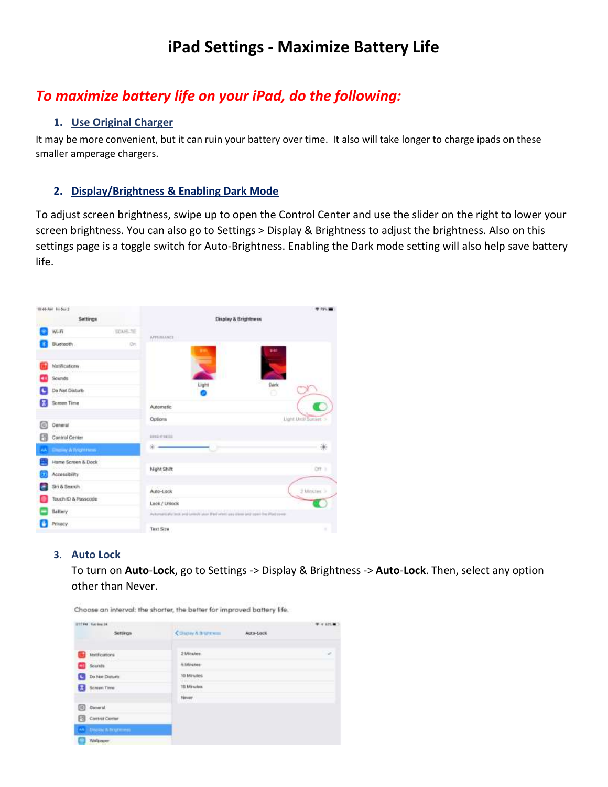# **iPad Settings - Maximize Battery Life**

## *To maximize battery life on your iPad, do the following:*

## **1. Use Original Charger**

It may be more convenient, but it can ruin your battery over time. It also will take longer to charge ipads on these smaller amperage chargers.

## **2. Display/Brightness & Enabling Dark Mode**

To adjust screen brightness, swipe up to open the Control Center and use the slider on the right to lower your screen brightness. You can also go to Settings > Display & Brightness to adjust the brightness. Also on this settings page is a toggle switch for Auto-Brightness. Enabling the Dark mode setting will also help save battery life.



## **3. Auto Lock**

To turn on **Auto**-**Lock**, go to Settings -> Display & Brightness -> **Auto**-**Lock**. Then, select any option other than Never.

|   | ETTPM Gallery DK     |                     |           | 4.4126 |
|---|----------------------|---------------------|-----------|--------|
|   | Settings             | County & Brightness | Auto-Lock |        |
|   | hotflications        | 2 Minutes           |           | ×      |
|   | Sounds               | 5 Minutes           |           |        |
| G | Do Not Disturb       | 10 Minutes          |           |        |
| в | Screen Time          | 15 Minutes          |           |        |
|   |                      | Never               |           |        |
| ▣ | Coneral.             |                     |           |        |
| 冏 | Control Center       |                     |           |        |
|   | AA STACKNER BROWNING |                     |           |        |
|   | Wallpaper            |                     |           |        |

Choose an interval: the shorter, the better for improved battery life.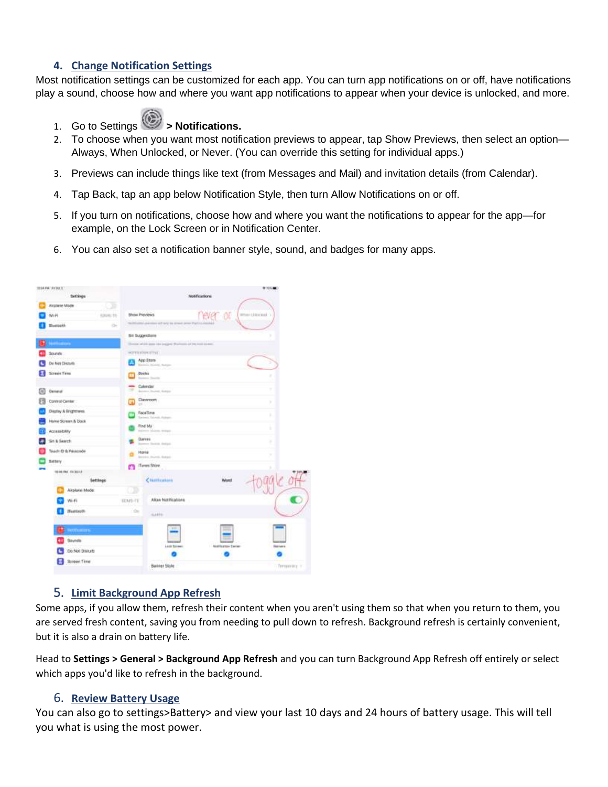## **4. Change Notification Settings**

Most notification settings can be customized for each app. You can turn app notifications on or off, have notifications play a sound, choose how and where you want app notifications to appear when your device is unlocked, and more.



1. Go to Settings<sup>(2)</sup> > Notifications.

- 2. To choose when you want most notification previews to appear, tap Show Previews, then select an option— Always, When Unlocked, or Never. (You can override this setting for individual apps.)
- 3. Previews can include things like text (from Messages and Mail) and invitation details (from Calendar).
- 4. Tap Back, tap an app below Notification Style, then turn Allow Notifications on or off.
- 5. If you turn on notifications, choose how and where you want the notifications to appear for the app—for example, on the Lock Screen or in Notification Center.
- 6. You can also set a notification banner style, sound, and badges for many apps.

|   | HIGH-FM AYOUT.            |                                                                               | 9115.00           |
|---|---------------------------|-------------------------------------------------------------------------------|-------------------|
|   | Settings                  | <b>Footifications</b>                                                         |                   |
|   | Airplane Mode<br>-30      |                                                                               |                   |
|   | W-H<br><b>REALMO TO</b>   | never or<br>Shoul Previews                                                    | When University's |
|   | <b>Bernott</b><br>$\circ$ | othic premiers will net to street prior that is constant                      |                   |
|   |                           | <b>Bit Buggerdone</b>                                                         |                   |
|   | <b>NAMES OF STREET</b>    | Thereon's and pick-appear and a single pick-Pharmacon-and (PAS must any more) |                   |
|   | Sounds                    | <b>HITERROOM STEEL</b>                                                        |                   |
|   | De Net Disturb.           | App Stone<br>Bismining Manitor, Barton                                        |                   |
|   | Screen Terro              | <b>Docks</b><br><b>Screen Streets</b>                                         | ٠                 |
| œ | <b>Oeneur</b>             | Colervian<br>÷<br>Britain Burgh Autom                                         | ٠                 |
|   | Control Center            | Dassroom                                                                      | ×                 |
|   | District & Brightness.    | FaceTirve                                                                     | ٠                 |
|   | Home Screen & Dock        | Racismic Education Supports                                                   |                   |
|   | Accessibility             | Tind bly :<br>Edward Modern, Millery                                          | ٠                 |
|   | Sit & Search              | <b>Ourner</b> :<br>Summer Showers design)                                     | ٠                 |
|   | Teach D & Passcode        | Home                                                                          | ٠                 |
|   | Sidlery                   | <b>Arrival of Minerally, Manhant</b>                                          |                   |
|   | HIGH RIGHT                | <b>ITeres Shire</b><br>m                                                      |                   |
|   | <b>Settings</b>           | <b>WEDNESDAY</b><br>Citaticators<br>Werst                                     |                   |
|   | Airplane Mode             | $^\circ$<br><b>POLICE CONTRACTOR</b>                                          |                   |
|   | Wi-Fi                     | Abov Notifications<br>EDM1-TE                                                 |                   |
|   | Bluetooth.                | $rac{1}{2}$<br>SARIE                                                          |                   |
|   | <b>HITHEITA</b>           |                                                                               |                   |
|   | Sounds                    |                                                                               |                   |
|   | Do Not Disturb            | Lock Screen<br><b>Nothame Delay</b>                                           | <b>Barners</b>    |
|   | Screen Time               |                                                                               |                   |
|   |                           | Bainer Style                                                                  | Terminally 1      |
|   |                           |                                                                               |                   |

#### 5. **Limit Background App Refresh**

Some apps, if you allow them, refresh their content when you aren't using them so that when you return to them, you are served fresh content, saving you from needing to pull down to refresh. Background refresh is certainly convenient, but it is also a drain on battery life.

Head to **Settings > General > Background App Refresh** and you can turn Background App Refresh off entirely or select which apps you'd like to refresh in the background.

#### 6. **Review Battery Usage**

You can also go to settings>Battery> and view your last 10 days and 24 hours of battery usage. This will tell you what is using the most power.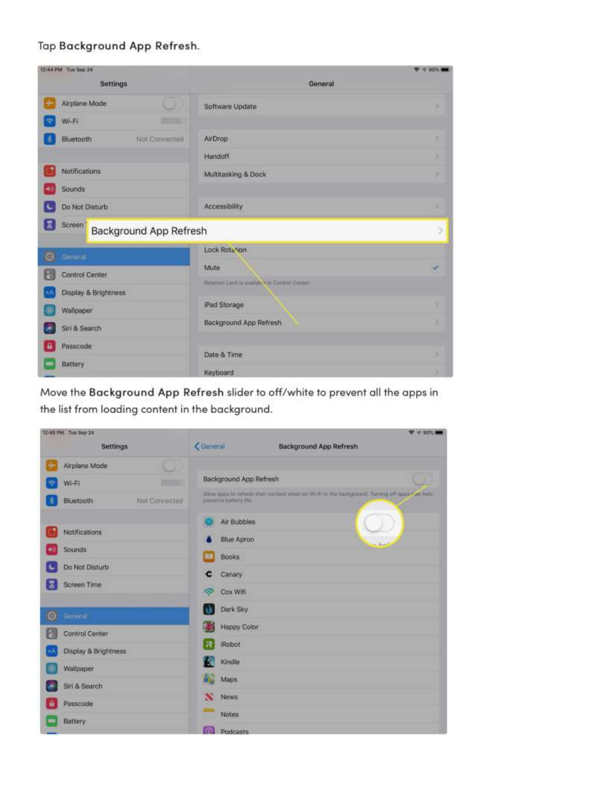## Tap Background App Refresh.

| 12:44 PM Tue Sep 24                                |                                              | 94.90% |
|----------------------------------------------------|----------------------------------------------|--------|
| <b>Settings</b>                                    | General                                      |        |
| Airplane Mode<br>u                                 | Software Update                              | ٠      |
| $\overline{\phantom{a}}$<br>$WF-FI$<br>Ф           |                                              |        |
| Bluetooth<br>Not-Connected                         | AirDrop                                      | s      |
|                                                    | Handoff                                      | ×      |
| <b>Notifications</b>                               | Multitasking & Dock                          | s      |
| Sounds                                             |                                              |        |
| Do Not Disturb<br>×                                | Accessibility                                | ×      |
| E<br>Screen <sup>'</sup><br>Background App Refresh |                                              | $\geq$ |
| o<br>General                                       | Lock Rotation                                |        |
| н<br><b>Control Center</b>                         | Mute                                         | s.     |
| Display & Brightness                               | Refation Lock in availab. In Control Center. |        |
| Wallpaper<br>瞙                                     | Pad Storage                                  | э      |
| Siri & Search                                      | Background App Refresh                       | з      |
| Passcode<br>a                                      |                                              |        |
| Battery                                            | Date & Time                                  | ×      |
|                                                    | Keyboard                                     | ×      |

Move the Background App Refresh slider to off/white to prevent all the apps in the list from loading content in the background.